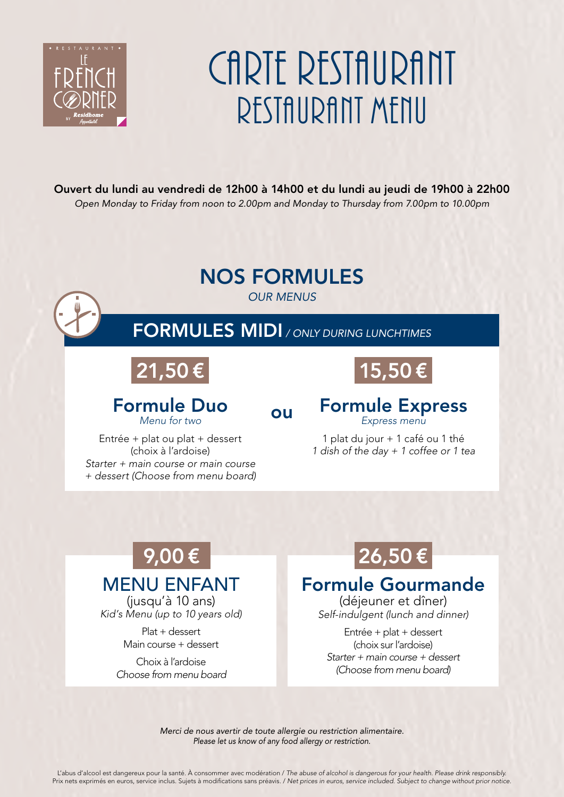

# CARTE RESTAURANT RESTAURANT MFNII

Ouvert du lundi au vendredi de 12h00 à 14h00 et du lundi au jeudi de 19h00 à 22h00 *Open Monday to Friday from noon to 2.00pm and Monday to Thursday from 7.00pm to 10.00pm* 

# NOS FORMULES



# FORMULES MIDI */ ONLY DURING LUNCHTIMES*

# 21,50 €

# 15,50 €

### Formule Duo *Menu for two*

### ou

Formule Express *Express menu*

Entrée + plat ou plat + dessert (choix à l'ardoise) *Starter + main course or main course + dessert (Choose from menu board)*

1 plat du jour + 1 café ou 1 thé *1 dish of the day + 1 coffee or 1 tea*

### $9,00 \in$  26,50 € MENU ENFANT (jusqu'à 10 ans)

*Kid's Menu (up to 10 years old)*

Plat + dessert Main course + dessert

Choix à l'ardoise *Choose from menu board*

### Formule Gourmande

(déjeuner et dîner) *Self-indulgent (lunch and dinner)*

Entrée + plat + dessert (choix sur l'ardoise) *Starter + main course + dessert (Choose from menu board)*

*Merci de nous avertir de toute allergie ou restriction alimentaire. Please let us know of any food allergy or restriction.*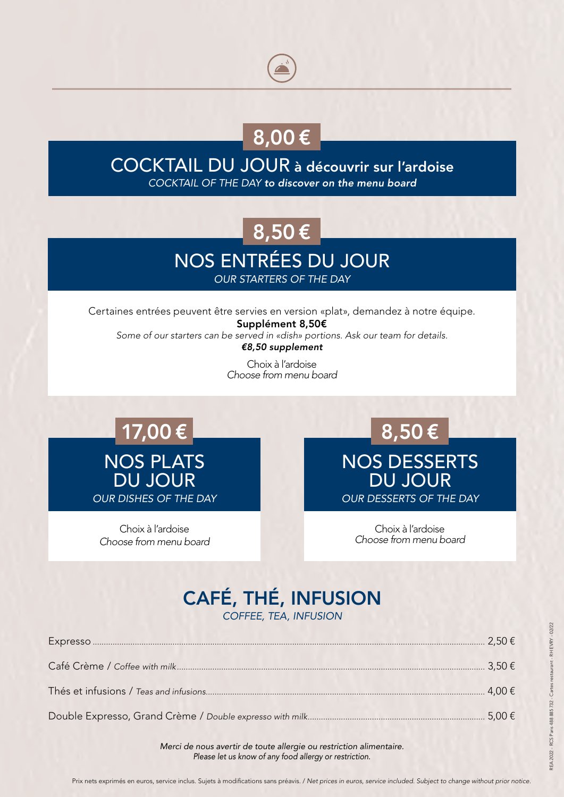# 8,00 €

### COCKTAIL DU JOUR à découvrir sur l'ardoise *COCKTAIL OF THE DAY to discover on the menu board*

# 8,50 €

# NOS ENTRÉES DU JOUR

*OUR STARTERS OF THE DAY*

Certaines entrées peuvent être servies en version «plat», demandez à notre équipe. Supplément 8,50€ *Some of our starters can be served in «dish» portions. Ask our team for details. €8,50 supplement*

> Choix à l'ardoise *Choose from menu board*

NOS PLATS DU JOUR *OUR DISHES OF THE DAY*  $17,00 \in$  8,50 €

Choix à l'ardoise *Choose from menu board* NOS DESSERTS DU JOUR *OUR DESSERTS OF THE DAY*

> Choix à l'ardoise *Choose from menu board*

# CAFÉ, THÉ, INFUSION

*COFFEE, TEA, INFUSION*

*Merci de nous avertir de toute allergie ou restriction alimentaire. Please let us know of any food allergy or restriction.*

Prix nets exprimés en euros, service inclus. Sujets à modifications sans préavis. / *Net prices in euros, service included. Subject to change without prior notice.*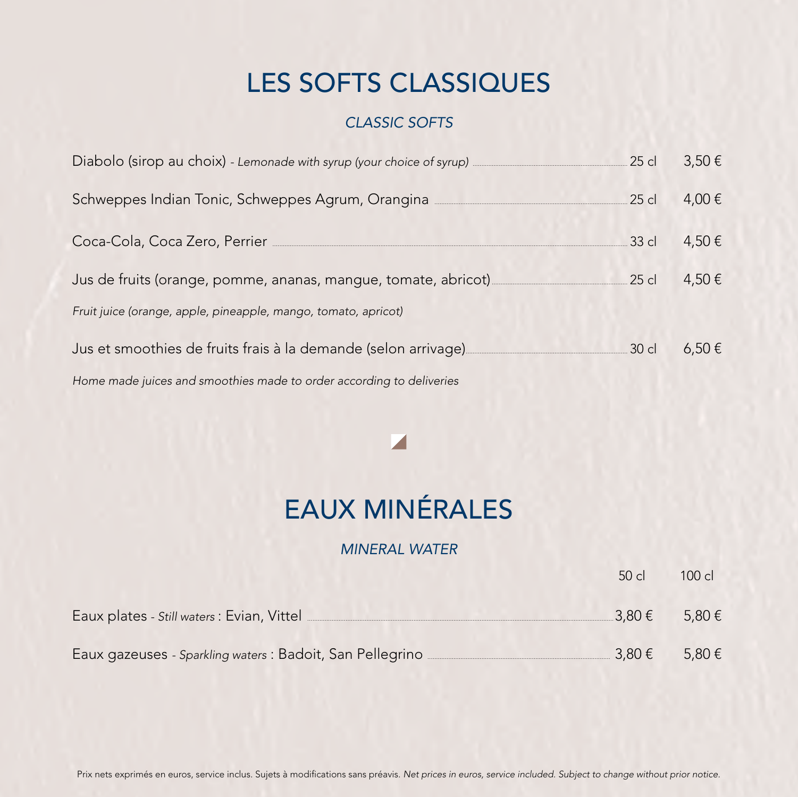# LES SOFTS CLASSIQUES

### *CLASSIC SOFTS*

|                                                                                  | .25 cl  | $3,50 \in$ |
|----------------------------------------------------------------------------------|---------|------------|
| Schweppes Indian Tonic, Schweppes Agrum, Orangina ______________________________ | .25 cl  | 4,00€      |
|                                                                                  | $33$ cl | 4,50€      |
| Jus de fruits (orange, pomme, ananas, mangue, tomate, abricot)                   | $25$ c  | 4,50€      |
| Fruit juice (orange, apple, pineapple, mango, tomato, apricot)                   |         |            |
| Jus et smoothies de fruits frais à la demande (selon arrivage)                   | .30 cl  | $6,50 \in$ |
| Home made juices and smoothies made to order according to deliveries             |         |            |

# EAUX MINÉRALES

#### *MINERAL WATER*

|                                                                                   | $50$ cl         | $100 \text{ cl}$ |
|-----------------------------------------------------------------------------------|-----------------|------------------|
|                                                                                   | 3.80 $\epsilon$ | 5.80 €           |
| Eaux gazeuses - Sparkling waters : Badoit, San Pellegrino _______________________ | $3,80 \in$      | 5,80 €           |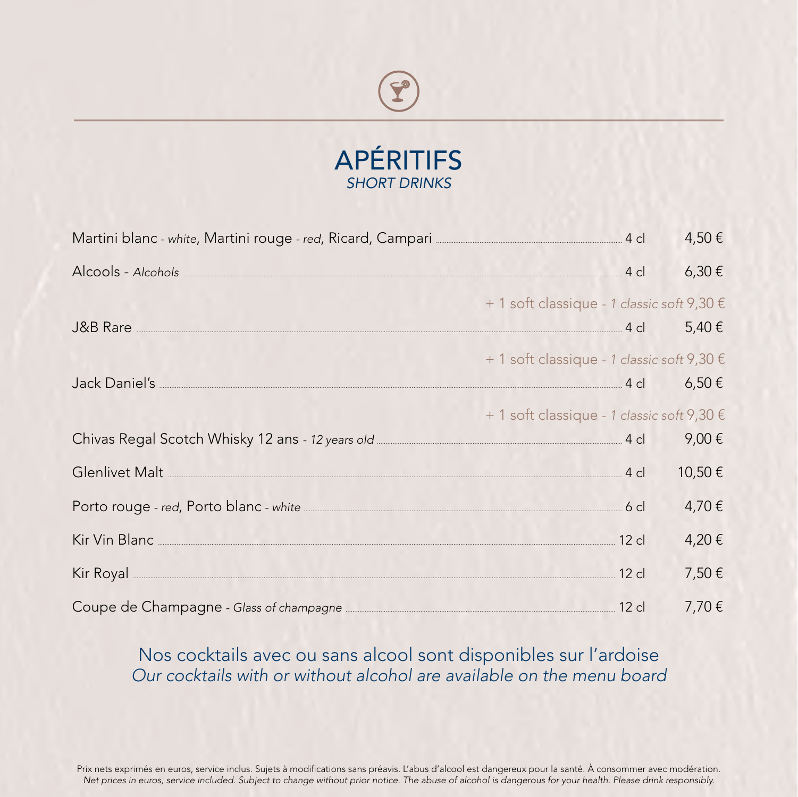

| Martini blanc - white, Martini rouge - red, Ricard, Campari <b>Martinian Campari</b> 4 cl                                                                                                                                            |                                            | 4,50€  |
|--------------------------------------------------------------------------------------------------------------------------------------------------------------------------------------------------------------------------------------|--------------------------------------------|--------|
| Alcools - Alcohols 4 cl                                                                                                                                                                                                              |                                            | 6,30€  |
|                                                                                                                                                                                                                                      | + 1 soft classique - 1 classic soft 9,30 € |        |
| J&B Rare $\overline{\phantom{a}}$ 4 cl $\phantom{a}$ 5,40 €                                                                                                                                                                          |                                            |        |
|                                                                                                                                                                                                                                      | + 1 soft classique - 1 classic soft 9,30 € |        |
|                                                                                                                                                                                                                                      |                                            |        |
|                                                                                                                                                                                                                                      | + 1 soft classique - 1 classic soft 9,30 € |        |
| Chivas Regal Scotch Whisky 12 ans - 12 years old <b>Children Container and Scotch Automaker</b> 4 cl                                                                                                                                 |                                            | 9,00€  |
| Glenlivet Malt 4 cl                                                                                                                                                                                                                  |                                            | 10,50€ |
| Porto rouge - red, Porto blanc - white <b>Manufacture of the Contract Orange Contract Contract Contract Contract Contract Contract Contract Contract Contract Contract Contract Contract Contract Contract Contract Contract Con</b> |                                            | 4,70€  |
| Kir Vin Blanc 12 cl                                                                                                                                                                                                                  |                                            | 4,20€  |
| Kir Royal 2cl                                                                                                                                                                                                                        |                                            | 7,50€  |
| Coupe de Champagne - Glass of champagne <b>Entrarrelle Coupe de Champagne</b> 12 cl                                                                                                                                                  |                                            | 7,70€  |

### Nos cocktails avec ou sans alcool sont disponibles sur l'ardoise Our cocktails with or without alcohol are available on the menu board

Prix nets exprimés en euros, service inclus. Sujets à modifications sans préavis. L'abus d'alcool est dangereux pour la santé. À consommer avec modération. Net prices in euros, service included. Subject to change without prior notice. The abuse of alcohol is dangerous for your health. Please drink responsibly.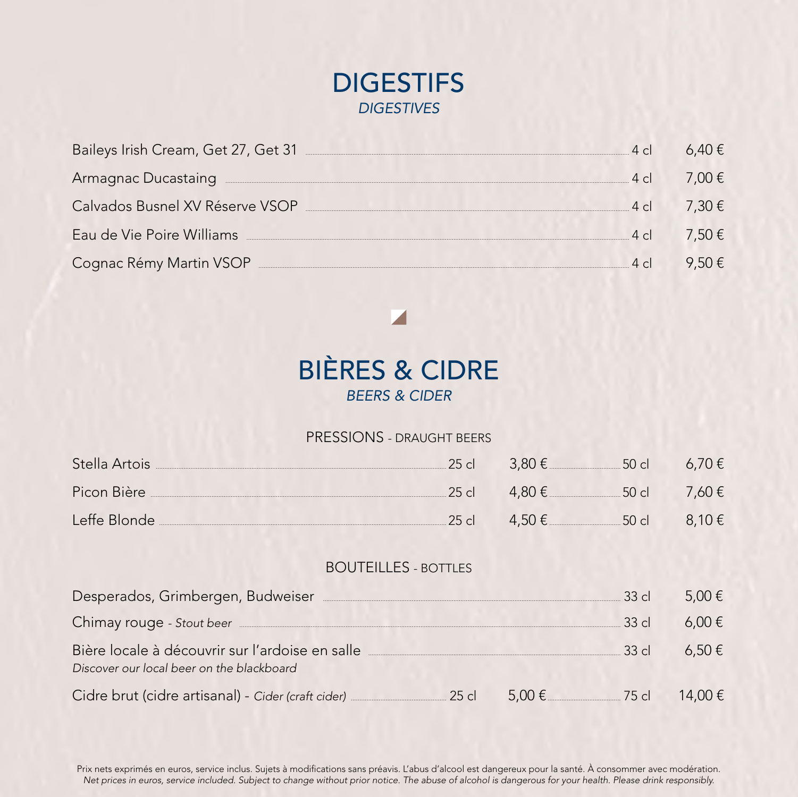

| Baileys Irish Cream, Get 27, Get 31 [18] [19] Daileys Irish Cream, Get 27, Get 31 |               |                 |
|-----------------------------------------------------------------------------------|---------------|-----------------|
|                                                                                   | $4 \nolimits$ | 7.00 $\epsilon$ |
| Calvados Busnel XV Réserve VSOP                                                   | $4 \nolimits$ | $7.30 \div$     |
| Eau de Vie Poire Williams                                                         | 4c            | $7.50 \div$     |
| Cognac Rémy Martin VSOP                                                           |               |                 |

### **BIÈRES & CIDRE BEERS & CIDER**

#### PRESSIONS - DRAUGHT BEERS

| Stella Artois <b>Maria Artois</b> |                                     |  |
|-----------------------------------|-------------------------------------|--|
|                                   |                                     |  |
| Leffe Blonde                      | $25 \text{ cl}$ 4,50 € 50 cl 8,10 € |  |

### **BOUTEILLES - BOTTLES**

| Desperados, Grimbergen, Budweiser                                                                                                                                                                                                   |                              | $33$ cl  | 5,00 €        |
|-------------------------------------------------------------------------------------------------------------------------------------------------------------------------------------------------------------------------------------|------------------------------|----------|---------------|
| Chimay rouge - Stout beer <b>contained</b> and the state of the state of the state of the state of the state of the state of the state of the state of the state of the state of the state of the state of the state of the state o |                              | $-33$ cl | $6.00 \notin$ |
| Bière locale à découvrir sur l'ardoise en salle<br>Discover our local beer on the blackboard                                                                                                                                        |                              | $-33$ cl | $6.50 \notin$ |
| Cidre brut (cidre artisanal) - Cider (craft cider) <b>Cider</b> 25 cl                                                                                                                                                               | 5,00 € _______________ 75 cl |          | 14.00€        |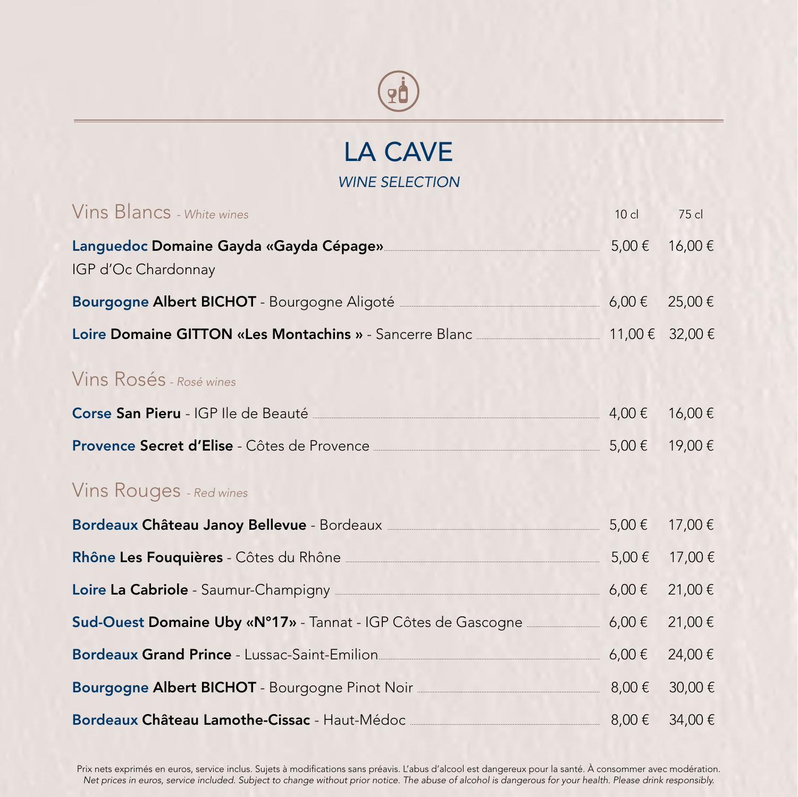

### LA CAVE *WINE SELECTION*

| Vins Blancs - White wines                                                                                             | $10$ cl | 75 cl  |
|-----------------------------------------------------------------------------------------------------------------------|---------|--------|
| Languedoc Domaine Gayda «Gayda Cépage» 2000 10000000 10000 5,00€<br>IGP d'Oc Chardonnay                               |         | 16,00€ |
| Bourgogne Albert BICHOT - Bourgogne Aligoté <u>entre en messe de</u> 6,00 €                                           |         | 25,00€ |
| Loire Domaine GITTON «Les Montachins » - Sancerre Blanc 2000 2000 € 32,00€ 32,00€                                     |         |        |
| Vins Rosés - Rosé wines                                                                                               |         |        |
| Corse San Pieru - IGP Ile de Beauté $4,00 \in$                                                                        |         | 16,00€ |
| Provence Secret d'Elise - Côtes de Provence <u>entre la contenante de la contenante</u> 5,00 €                        |         | 19,00€ |
| Vins Rouges - Red wines                                                                                               |         |        |
| Bordeaux Château Janoy Bellevue - Bordeaux <b>Maria Accessor 3.00 Exetence</b> 5,00 €                                 |         | 17,00€ |
| Rhône Les Fouquières - Côtes du Rhône <u>entre les products</u> de la participat de la participat de la participat de |         | 17,00€ |
| Loire La Cabriole - Saumur-Champigny <u>entitled and the state of</u> 5,00 €                                          |         | 21,00€ |
| Sud-Ouest Domaine Uby «N°17» - Tannat - IGP Côtes de Gascogne 6,00 €                                                  |         | 21,00€ |
| Bordeaux Grand Prince - Lussac-Saint-Emilion<br>26,00€                                                                |         | 24,00€ |
| Bourgogne Albert BICHOT - Bourgogne Pinot Noir 2000 100000000 8,00€                                                   |         | 30,00€ |
| Bordeaux Château Lamothe-Cissac - Haut-Médoc $\frac{1}{2}$ 8,00 €                                                     |         | 34,00€ |

Prix nets exprimés en euros, service inclus. Sujets à modifications sans préavis. L'abus d'alcool est dangereux pour la santé. À consommer avec modération. *Net prices in euros, service included. Subject to change without prior notice. The abuse of alcohol is dangerous for your health. Please drink responsibly.*